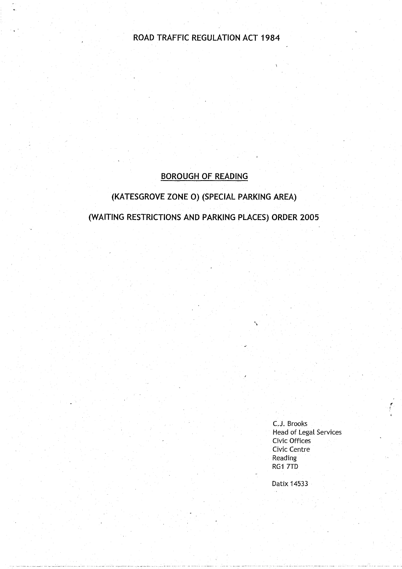# ROAD TRAFFIC REGULATION ACT 1984

# **BOROUGH OF READING**

# **(KATESGROVE ZONE 0) (SPECIAL PARKING AREA)**

**(WAITING RESTRICTIONS AND PARKING PLACES** ) **ORDER 2005**

C.J. Brooks Head of Legal Services Civic Offices Civic Centre **Reading** RG1 7TD

Datix 14533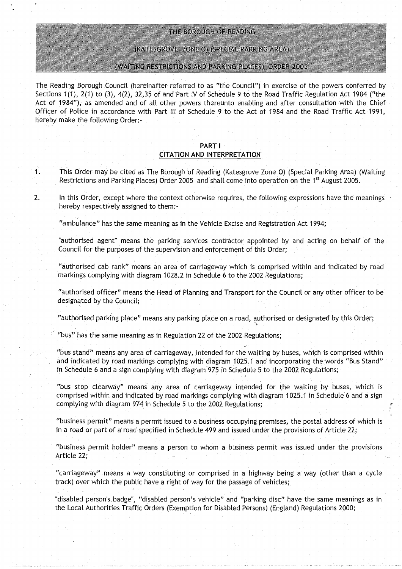### THE BOROUGH OF READING

(KATESGROVE ZONE O) (SPECIAL PARKING AREA)

#### (WAITING RESTRICTIONS AND PARKING PLACES) ORDER 2005

**The Reading Borough Council** (**hereinafter referred to as** the **Council** ") **in exercise of the powers conferred by Sections 1** (**1), 2(1) to** (**3), 4(2), 32**,**35 of and Part IV of Schedule 9 to the Road Traffic Regulation Act 1984 ("the Act of 1984**"), **as amended and of all other powers thereunto enabling and after consultation with the Chief Officer of Police in accordance with Part III of Schedule 9 to the Act of 1984 and the Road Traffic Act 1991,** hereby make the following Order:-

#### **PART** <sup>I</sup> **CITATION AND INTERPRETATION**

- **<sup>1</sup> . This Order may be cited as The Borough** '**of Reading** (**Katesgrove Zone 0) (Special Parking Area** ) (**Waiting** Restrictions and Parking Places) Order 2005 and shall come into operation on the 1<sup>st</sup> August 2005.
- **<sup>2</sup> . In this Order**, **except where the context otherwise requires, the following expressions have the meanings** hereby respectively assigned to them:-

**"ambulance** " **has the same meaning as in the Vehicle Excise and Registration Act 1994;**

authorised **agent**" **means the parking services contractor appointed by and acting on behalf of the Council for the purposes of the supervision and enforcement of this Order ;**

authorised **cab rank" means an area of carriageway which is comprised within and indicated by road** markings **complying with diagram 1028** . **2 in Schedule 6 to the 2002 . Regulations;**

**"authorised officer" means the Head of Planning and Transport for the Council or any other officer to be designated by the Council ;**

**"authorised parking place**" **means any parking place on a road, authorised or designated by this Order ;**

**"bus" has the same meaning as in Regulation 22 of the 2002 Regulations;**

**"bus stand**" **means any area of carriageway**, **intended for the waiting by buses, which is comprised within and indicated by road markings complying with diagram 1025** . **1 and incorporating** the **words "Bus Stand" in Schedule 6 and a sign complying with diagram 975 in Schedule 5 to the 2002 Regulations ;**

**"bus stop clearway" means any area of carriageway intended for the waiting by buses, which is comprised within and indicated by road markings complying with diagram 1025 .1 in Schedule'6 and a sign complying with diagram 974 in Schedule 5 to the 2002 Regulations;**

**"business permit** " **means a permit issued to a business occupying premises**, **the postal address of which is in a road or part of a**' **road specified in Schedule 499 and issued under the provisions of Article 22 ;**

**"business permit holder** " **means a person to whom a business permit was issued under the provisions Article 22;**

**"carriageway** " **means a way constituting or comprised in a highway being a way** (**other than a cycle track**) **over which the public have a right of way for the passage of vehicles;**

**"disabled person** '**s**, **badge**", "**disabled person**'**s vehicle" and "parking disc** " **have the same meanings as in the Local Authorities Traffic Orders** (**Exemption for Disabled Persons**) ( **England) Regulations 2000 ;**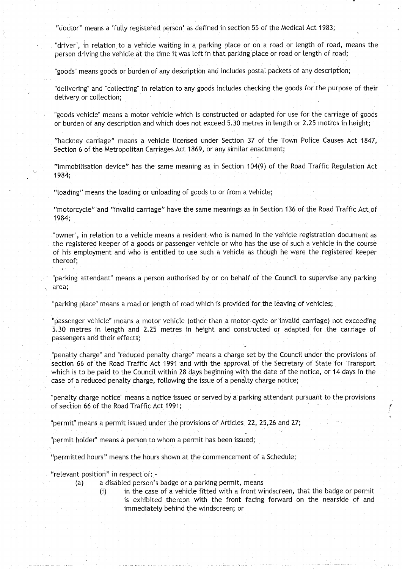"doctor" means a 'fully registered person' as defined in section 55 of the Medical Act 1983;

"driver", in relation to a vehicle waiting in a parking place or on a road or length of road, means the person driving the vehicle at the time it was left in that parking place or road or length of road;

"goods" means goods or burden of any description and includes postal packets of any description;

"delivering" and "collecting" in relation to any goods includes checking the goods for the purpose of their delivery or collection;

"goods vehicle" means a motor vehicle which is constructed or adapted for use for the carriage of goods or burden of any description and which does not exceed 5.30 metres in length or 2.25 metres in height;

"hackney carriage" means a vehicle licensed under Section 37 of the Town Police Causes Act 1847, Section 6 of the Metropolitan Carriages Act 1869, or any similar enactment;

"immobilisation device" has the same meaning as in Section 104(9) of the Road Traffic Regulation Act 1984;

"loading" means the loading or unloading of goods to or from a vehicle;

"motorcycle" and "invalid carriage" have the same meanings as in Section 136 of the Road Traffic Act of 1984;

"owner", in relation to a vehicle means a resident who is named in the vehicle registration document as the registered keeper of a goods or passenger vehicle or who has the use of such a vehicle in the course of his employment and who is entitled to use such a vehicle as though he were the registered keeper thereof;

"parking attendant" means a person authorised by or on behalf of the Council to supervise any parking area;

"parking place" means a road or length of road which is provided for the leaving of vehicles;

"passenger vehicle" means a motor vehicle (other than a motor cycle or invalid carriage) not exceeding 5.30 metres in length and 2 .25 metres in height and constructed or adapted for the carriage of passengers and their effects;

"penalty charge" and "reduced penalty charge" means a charge set by the Council under the provisions of section 66 of the Road Traffic Act 1991 and with the approval of the Secretary of State for Transport which is to be paid to the Council within 28 days beginning with the date of the notice, or 14 days in the case of a reduced penalty charge, following the issue of a penalty charge notice ;

"penalty charge notice" means a notice issued or served by a parking attendant pursuant to the provisions of section 66 of the Road Traffic Act 1991 ;

"permit" means a permit issued under the provisions of Articles, 22, 25, 26 and 27;

"permit holder" means a person to whom a permit has been issued;

"permitted hours" means the hours shown at the commencement of a Schedule;

"relevant position" in respect of:

- (a) a disabled person's badge or a parking permit, means
	-
	- (i) in the case of a vehicle fitted with a front windscreen, that the badge or permit is exhibited thereon with the front facing forward on the nearside of and immediately behind the windscreen; or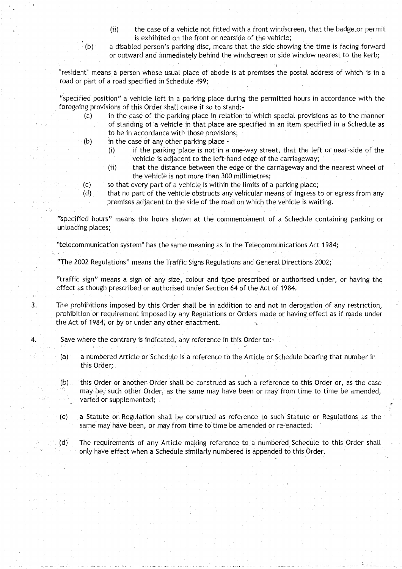- (ii) the case of a vehicle not fitted with a front windscreen, that the badge or permit is exhibited on the front or nearside of the vehicle;
- (b) a disabled person's parking disc, means that the side showing the time is facing forward or outward and immediately behind the windscreen or side window nearest to the kerb;

resident" means a person whose usual place of abode is at premises the postal address of which is in a road or part of a road specified in Schedule 499;

"specified position" a vehicle left in a parking place during the permitted hours in accordance with the foregoing provisions of this Order shall cause it so to stand:-

- (a) in the case of the parking place in relation to which special provisions as to the manner of standing of a vehicle in that place are specified in an item specified in a Schedule as to be in accordance with those provisions;
- (b) in the case of any other parking place
	- (i) if the parking place is not in a one-way street, that the left or near-side of the vehicle is adjacent to the left-hand edge of the carriageway;
		- (ii) that the distance between the edge of the carriageway and the nearest wheel of the vehicle is not more than 300 millimetres;
- (c) so that every part of a vehicle is within the limits of a parking place;<br>(d) that no part of the vehicle obstructs any vehicular means of ingress t
- that no part of the vehicle obstructs any vehicular means of ingress to or egress from any premises adjacent to the side of the road on which the vehicle is waiting.

"specified hours" means the hours shown at the commencement of a Schedule containing parking or unloading places;

"telecommunication system" has the same meaning as in the Telecommunications Act 1984;

"The 2002 Regulations" means the Traffic Signs Regulations and General Directions 2002 ;

"traffic sign" means a sign of any size, colour and type prescribed or authorised under, or having the effect as though prescribed or authorised under Section 64 of the Act of 1984 .

<sup>3</sup> . The prohibitions imposed by this Order shall be in addition to and not in derogation of any restriction, prohibition or requirement imposed by any Regulations or Orders made or having effect as if made under the Act of 1984, or by or under any other enactment.

4. Save where the contrary is indicated, any reference in this Order to:-

- (a)  $\sim$  a numbered Article or Schedule is a reference to the Article or Schedule bearing that number in this Order;
- (b) this Order or another Order shall be construed as such a reference to this Order or, as the case may be, such other Order, as the same may have been or may from time to time be amended, varied or supplemented;
- (c) a Statute or Regulation shalt be construed as reference to such Statute or Regulations as the same may have been, or may from time to time be amended or re-enacted .
- (d) The requirements of any Article making reference to a numbered Schedule to this Order shalt only have effect when a Schedule similarly numbered is appended to this Order .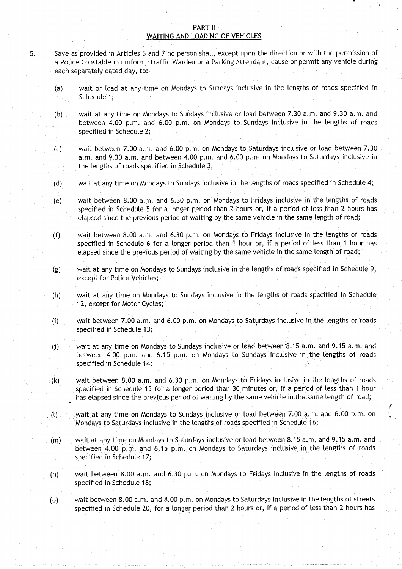#### **PART II** WAITING AND LOADING OF VEHICLES

- <sup>5</sup> . Save as provided in Articles 6 and 7 no person shall, except upon the direction or with the permission of a Police Constable in uniform, Traffic Warden or a Parking Attendant, cause or permit any vehicle during each separately dated day, to:-
	- (a) wait or load at any time on Mondays to Sundays inclusive in the lengths of roads specified in Schedule 1;
	- (b) wait at any time on Mondays to Sundays inclusive or load between 7 .30 a.m. and 9 .30 a .m . and between 4.00 p.m. and 6.00 p.m. on Mondays to Sundays inclusive in the lengths of roads specified in Schedule 2;
	- (c) wait between 7.00 a.m. and 6.00 p.m . on Mondays to Saturdays inclusive or load between 7.30 **a.m . and 9** . **30 a.m** . **and . between** 4.00 p.m. **and 6** . **00 p.m~**. **on Mondays to Saturdays inclusive in the lengths of roads specified in Schedule 3 ;**
	- **(d) wait at any time on Mondays to Sundays inclusive in the lengths of roads specified in Schedule 4 ;**
	- (e) wait between 8.00 a .m. and 6.30 p.m . on Mondays to Fridays inclusive in the lengths of roads **specified in Schedule 5 for a longer period than 2 hours or, if a period of less than 2 hours has** elapsed since the previous period of waiting by the same vehicle in the same length of road;
	- **(f) wait between 8**. **00 a.m**. **and 6 .30 p .m**. **on Mondays to Fridays inclusive in the lengths of roads specified in Schedule 6 for a longer period than 1 hour or** , **if a period of less than 1 hour has** elapsed since the previous period of waiting by the same vehicle in the same length of road;
	- **(g) wait at** any time **on Mondays to Sundays inclusive in the lengths of roads specified in Schedule 9,** except for Police Vehicles;
	- (h) wait at any time on Mondays to Sundays inclusive in the lengths of roads specified in Schedule 12, except for Motor Cycles;
	- **(i) wait between 7.00 a** . **<sup>m</sup> . and 6.00** p.m . **on Mondays to Saturdays inclusive in the lengths of roads** specified in Schedule 13;
	- **(j) wait at any time on Mondays to Sundays inclusive or lead between\*8**.**15 a.m. and 9** . **15 a.m. and between 4**. **00 p .m . and 6** . **15 p.m . on Mondays to Sundays inclusive in : the lengths of roads** specified in Schedule 14;
	- $(k)$  wait between 8.00 a.m. and 6.30 p.m. on Mondays to Fridays inclusive in the lengths of roads **specified in Schedule 15 for a longer period than 30 minutes or, if a period of less than 1 hour** has elapsed since the previous period of waiting by the same vehicle in the same length of road;
	- **(l) wait at any time on Mondays to Sundays inclusive or load between 7 .00 a** . **<sup>m</sup> . and 6.00 p.m . on Mondays to Saturdays inclusive in the lengths of roads specified in Schedule 16 ;**
	- **(m) wait at any time on Mondays to Saturdays inclusive or load between 8 .15 a.m**., **and 9** . **15 a.m.** and **between 4**.**00 p.m**, **and 6**, **15 p .m . on Mondays to Saturdays inclusive in the lengths of roads** specified in Schedule 17;
	- (n) wait between 8 .00 a .m . and 6 .30 p.m. on Mondays to Fridays inclusive in the lengths of roads **specified in Schedule 18;**
	- (o) wait between 8.00a.m . and 8.00 p .m. on Mondays to Saturdays inclusive in the lengths of streets specified in Schedule 20, for a longer period than 2 hours or, if a period of less than 2 hours has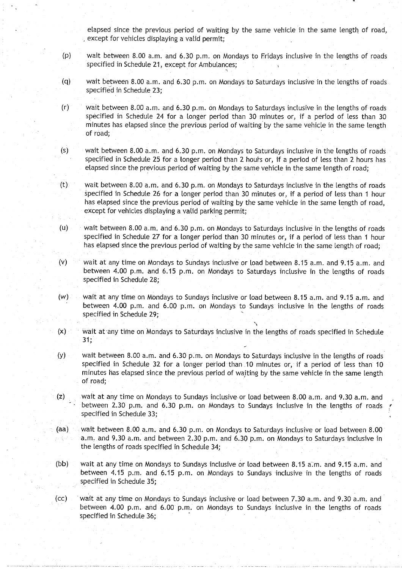elapsed since the previous period of waiting by the same vehicle in the same length, of road, except for vehicles displaying a valid permit;

- (p) wait between 8.00 a.m . and 6 .30 p.m . on Mondays to Fridays inclusive in the lengths of roads specified in Schedule 21, except for Ambulances;
- (q) wait between 8.00 a .m . and 6.30 p.m . on Mondays to Saturdays inclusive in the lengths of roads specified in Schedule 23;
- (r) wait between 8 .00 a.m . and 6 .30 p.m. on Mondays to Saturdays inclusive in the lengths of-roads specified in Schedule 24 for a longer period than 30 minutes or, if a period of less than 30 minutes has elapsed since the previous period of waiting by the same vehicle in the same length of road;
- $(s)$  wait between 8.00 a.m. and 6.30 p.m. on Mondays to Saturdays inclusive in the lengths of roads specified in Schedule 25 for a longer period than 2 hours or, if a period of less than 2 hours has elapsed since the previous period of waiting by the same vehicle in the same length of road;
- $(t)$  wait between 8.00 a.m. and 6.30 p.m. on Mondays to Saturdays inclusive in the lengths of roads specified in Schedule 26 for a longer period than 30 minutes or, if a period of less than 1 hour has elapsed since the previous period of waiting by the same vehicle in the same length of road, except for vehicles displaying a valid parking permit;
- $(u)$  wait between 8.00 a.m. and 6.30 p.m. on Mondays to Saturdays inclusive in the lengths of roads specified in Schedule 27 for a longer period than 30 minutes or, if a period of less than 1 hour has elapsed since the previous period of waiting by the same vehicle in the same length of road;
- (v)  $\sim$  wait at any time on Mondays to Sundays inclusive or load between 8.15 a.m. and 9.15 a.m. and between 4.00 p.m. and 6.15 p.m. on Mondays to Saturdays inclusive in the lengths of roads specified in Schedule 28;
- (w) wait at any time on Mondays to Sundays inclusive or load between 8.15 a.m. and 9.15 a.m. and between 4.00 p.m . and 6 .00 p.m . on Mondays to Sundays inclusive in the lengths of roads specified in Schedule 29;
- $(x)$  wait at any time on Mondays to Saturdays inclusive in the lengths of roads specified in Schedule 31:
- (y) wait between 8.00 a .m . and 6 .30 p.m. on Mondays to Saturdays inclusive in the lengths of roads specified in Schedule 32 for a longer period than .10 minutes or, if a period of less than 10 minutes has elapsed since the previous period of waiting by the same vehicle in the same length of road;
- (z) wait at any time on Mondays to Sundays inclusive or load between 8 .00 a.m. and 9.30 a.m. and between 2.30 p.m. and 6.30 p.m. on Mondays to Sundays inclusive in the lengths of roads specified in Schedule 33;
- (aa) wait between 8.00 a.m. and 6.30 p.m. on Mondays to Saturdays inclusive or load between 8.00 a.m. and 9.30 a.m. and between 2.30 p.m. and 6.30 p.m. on Mondays to Saturdays inclusive in the lengths of roads specified in Schedule 34;
- (bb) wait at any time on Mondays to Sundays inclusive or load between 8.15 a.m. and 9.15 a.m. and between 4.15 p.m. and 6.15 p.m. on Mondays to Sundays inclusive in the lengths of roads specified in Schedule 35;
- (cc) wait at any time on Mondays to Sundays inclusive or toad between 7 .30 a.m. and 9.30 a.m . and between 4.00 p.m. and 6.00 p.m. on Mondays to Sundays inclusive in the lengths of roads specified in Schedule 36;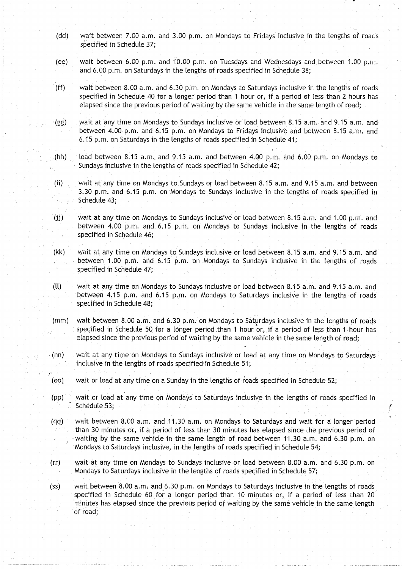- (dd) wait between 7.00 a.m. and 3.00 p.m. on Mondays to Fridays inclusive in the lengths of roads specified in Schedule 37;
- (ee) wait between 6.00 p.m. and 10.00 p.m. on Tuesdays and Wednesdays and between 1 .00 p.m . and 6.00 p.m. on Saturdays in the lengths of roads specified in Schedule 38;
- (ff) wait between 8.00 a.m. and 6.30 p.m. on Mondays to Saturdays inclusive in the lengths of roads specified in Schedule 40 for a longer period than 1 hour or, if a period of less than 2 hours has elapsed since the previous period of waiting by the same vehicle in the same length of road;
- (gg) wait at any time on Mondays to Sundays inclusive or load between 8.15 a.m. and 9.15 a.m. and between 4.00 p.m. and 6.15 p.m. on Mondays to Fridays inclusive and between 8.15 a.m. and <sup>6</sup> .15 p.m. on Saturdays in the lengths of roads specified in Schedule 41 ;
- $(hh)$  load between 8.15 a.m. and 9.15 a.m. and between 4.00 p.m, and 6.00 p.m. on Mondays to Sundays inclusive in the lengths of roads specified in Schedule 42;
- (ii) wait at any time on Mondays to Sundays or load between 8 .15 a .m. and 9 .15 a .m . and between 3.30 p.m. and 6.15 p.m. on Mondays to Sundays inclusive in the lengths of roads specified in Schedule 43;
- (jj) wait at any time on Mondays to Sundays inclusive or load between 8.15 a.m. and 1.00 p.m. and between 4.00 p.m. and 6.15 p.m. on Mondays to Sundays inclusive in the lengths of roads specified in Schedule 46;
- (kk) wait at any time on Mondays to Sundays inclusive or load between 8.15 a.m. and 9.15 a.m. and between 1.00 p.m. and 6.15 p.m. on Mondays to Sundays inclusive in the lengths of roads specified in Schedule 47;
- (ll) wait at any time on Mondays to Sundays inclusive or load between 8 .15 a.m. and 9 .15 a .m . and between 4.15 p.m. and 6.15 p.m. on Mondays to Saturdays inclusive in the lengths of roads specified in Schedule 48;
- (mm) wait between 8.00 a.m. and 6.30 p.m. on Mondays to Saturdays inclusive in the lengths of roads specified in Schedule 50 for a longer period than 1 hour or, if a period of less than 1 hour has elapsed since the previous period of waiting by the same vehicle in the same length of road;
- (nn) wait at any time on Mondays to Sundays inclusive or load at any time on Mondays to Saturdays inclusive in the lengths of roads specified in Schedule 51;
- (oo) wait or load at any time on a Sunday in the lengths of roads specified in Schedule 52;
- (pp) wait or load at any time on Mondays to Saturdays inclusive in the lengths of roads specified in Schedule 53;
- (qq) wait between 8.00 a.m. and 11.30 a.m. on Mondays to Saturdays and wait for a longer period than 30 minutes or, if a period of less than 30 minutes has elapsed since the previous period of waiting by the same vehicle in the same length of road between 11.30 a.m. and 6.30 p.m. on Mondays to Saturdays inclusive, in the lengths of roads specified in Schedule 54 ;
- (rr) wait at any time on Mondays to Sundays inclusive or. load between 8 .00 a.m . and 6.30 p.m . on Mondays to Saturdays inclusive in the lengths of roads specified in Schedule 57;
- (ss) wait between 8.00 a.m. and 6.30 p.m. on Mondays to Saturdays inclusive in the lengths of roads specified in Schedule 60 for a longer period than 10 minutes or, if a period of less than 20 minutes has elapsed since the previous period of waiting by the same vehicle in the same length of road,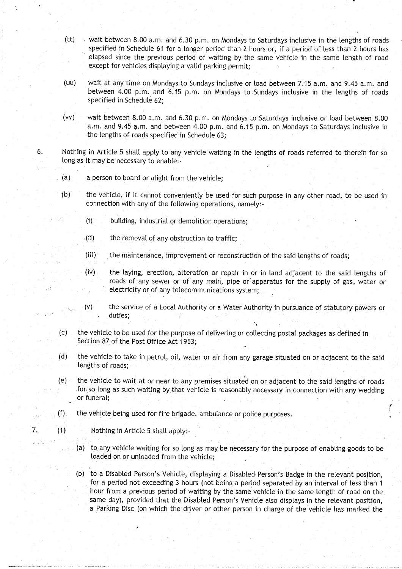- (tt) vait between 8.00 a.m. and 6.30 p.m. on Mondays to Saturdays inclusive in the lengths of roads specified in Schedule 61 for a longer period than 2 hours or, if a period of less than 2 hours has elapsed since the previous period of waiting by the same vehicle in the same length of road except for vehicles displaying a valid parking permit;
- (uu) wait at any time on Mondays to Sundays inclusive or load between 7.15 a.m . and 9 .45 a.m. and between 4.00 p.m. and 6.15 p.m. on Mondays to Sundays inclusive in the lengths of roads specified in Schedule 62;
- (vv) wait between 8.00 a.m. and 6.30 p.m. on Mondays to Saturdays inclusive or load between 8.00 a.m. and 9.45 a.m. and between 4.00 p.m. and 6.15 p.m. on Mondays to Saturdays inclusive in the lengths of roads specified in Schedule 63;
- 6. Nothing in Article 5 shall apply to any vehicle waiting in the lengths of roads referred to therein for so long as it may be necessary to enable:-
	- (a) a person to board or alight from the vehicle;

r i svä

- (b) the vehicle, if it cannot conveniently be used for such purpose in any other road, to be used in connection with any of the following operations, namely:-
	- (i) building, industrial or demolition operations;
	- $\mathcal{L}$ (ii) the removal of any obstruction to traffic;
	- (iii) the maintenance, improvement or reconstruction of the said lengths of roads;
	- (iv) the laying, erection, alteration or repair in or in land adjacent to the said lengths of roads of any sewer or of any main, pipe or apparatus for the supply of gas, water or electricity or of any telecommunications system ;
	- (v) the service of a Local Authority or a Water Authority in pursuance of statutory powers or duties;
- (c) the vehicle to be used for the purpose of delivering or collecting postal packages as defined in Section 87 of the Post Office Act 1953;
- (d) the vehicle to take in petrol, oil, water or air from any garage situated on or adjacent to the said lengths of roads;
- $(e)$  the vehicle to wait at or near to any premises situated on or adjacent to the said lengths of roads for so long as such waiting by that vehicle is reasonably necessary in connection with any wedding or funeral,
- (f), the vehicle being used for fire brigade, ambulance or police purposes.
- 7. (1) Nothing in Article **<sup>5</sup>** shall apply:
	- (a) to any vehicle waiting for so tong as may be necessary for the purpose of enabling goods to be loaded on or unloaded from the vehicle;
	- (b) to a Disabled Person's Vehicle, displaying a Disabled Person's Badge in the relevant position, for a period not exceeding 3 hours (not being a period separated by an interval of less than 1 hour from a previous period of waiting by the same vehicle in the same length of road on the same day), provided that the Disabled Person's Vehicle also displays in the relevant position, a Parking Disc (on which the driver or other person in charge of the vehicle has marked the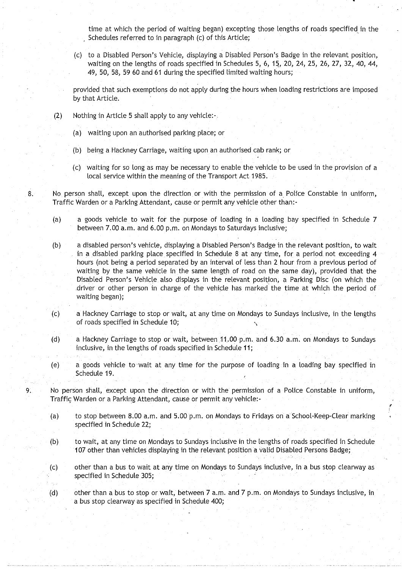time at which the period of waiting began) excepting those lengths of roads specified in the Schedules referred to in paragraph (c) of this Article;

(c) to a Disabled Person's Vehicle, displaying a Disabled Person's Badge in the relevant position, waiting on the lengths of roads specified in Schedules 5, 6, **15,** 20, 24, 25, 26, 27, 32, 40, 44, 49, 50, 58, 59 60 and 61 during the specified limited waiting hours;

provided that such exemptions do not apply during the hours when loading restrictions are imposed by that Article.

- $(2)$  Nothing in Article 5 shall apply to any vehicle:
	- (a) waiting upon an authorised parking place; or
	- (b) being a Hackney Carriage, waiting upon an authorised cab rank; or
	- (c) waiting for so long as may be necessary to enable the vehicle to be used in the provision of a local service within the meaning of the Transport Act 1985.
- <sup>8</sup> . No person shall, except upon the direction or with the permission of a Police Constable in uniform, Traffic Warden or a Parking Attendant, cause or permit any vehicle other than:-
	- (a) a goods vehicle to wait for the purpose of loading in a loading bay specified in Schedule 7 between 7.00 a.m. and 6.00 p.m. on Mondays to Saturdays inclusive;
	- (b) a disabled person's vehicle, displaying a Disabled Person's Badge in the relevant position, to wait in a disabled parking place specified in Schedule 8 at any time, for a period not exceeding 4 hours (not being a period separated by an interval of less than 2 hour from a previous period of waiting by the same vehicle in the same length of road on the same day), provided that the Disabled Person's Vehicle also displays in the relevant position, a Parking Disc (on which the .driver or other person in charge of the vehicle has marked the time at which the period of waiting began);
	- (c) a Hackney Carriage to stop or wait, at any time on Mondays to Sundays inclusive, in the lengths of roads specified in Schedule 10;
	- (d) a Hackney Carriage to stop or wait, between 11.00 p.m. and 6.30 a.m. on Mondays to Sundays inclusive, in the lengths of roads specified in Schedule 11;
	- (e) a goods vehicle to wait at any time for the purpose of loading in a loading bay specified in Schedule 19.
- 9. No person shall, except upon the direction or with the permission of a Police Constable in uniform, Traffic Warden or a Parking Attendant, cause or permit any vehicle :
	- (a) to stop between 8 .00 a.m . and 5 .00 p.m . on Mondays to Fridays on a School-Keep-Clear marking specified in Schedule 22;
	- (b) to wait, at any time on Mondays to Sundays inclusive in the lengths of roads specified in Schedule 107 other than vehicles displaying in the relevant position a valid Disabled Persons Badge;
	- (c) other than a bus to wait at any time on Mondays to Sundays inclusive, in a bus stop clearway as specified in Schedule 305;
	- (d) other than a bus to stop or wait, between 7 a .m. and 7 p.m. on Mondays to Sundays inclusive, in a bus stop clearway as specified in Schedule 400;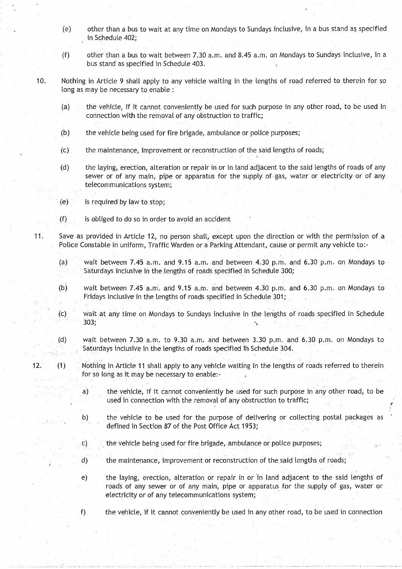- (e) other than a bus to wait at any time on Mondays to Sundays inclusive, in a bus stand as specified in Schedule 402;
- (f) other than a bus to wait between 7.30 a.m. and 8.45 a.m. on Mondays to Sundays inclusive, in a bus stand as specified in Schedule 403 .
- 10. Nothing in Article 9 shall apply to any vehicle waiting in the lengths of road referred to therein for so long as may be necessary to enable :
	- (a) the vehicle, if it cannot conveniently be used for such purpose in any other road, to be used in connection with the removal of any obstruction to traffic;
	- **(b) the vehicle being used for fire brigade, ambulance or police purposes;**
	- **(c) the maintenance**, **improvement or reconstruction of the said lengths of roads ;**
	- **(d) the laying, erection**, **alteration or repair in or in land adjacent to the said lengths of roads of any** sewer or of any main, pipe or apparatus for the supply of gas, water or electricity or of any **telecommunications system ;**
	- $(e)$  is required by law to stop;
	- **(f) is obliged to do so in order to avoid an acciden t**
- <sup>11</sup> . Save as provided in Article 12, no person shall, except upon the direction or with the permission of a Police Constable in uniform, Traffic Warden or a Parking Attendant, cause or permit any vehicle to:-
	- (a) wait between 7.45 a.m. and 9.15 a.m. and between 4.30 p.m. and 6.30 p.m. on Mondays to Saturdays inclusive in the lengths of roads specified in Schedule 300;
	- **(b) wait between 7 .45 a** . **<sup>m</sup> . and 9** . **15 a .m. and between 4 .30 p**. **<sup>m</sup> . and 6.30 p .m**. **on Mondays to Fridays inclusive in the lengths of roads specified in Schedule 301 ;**
	- (c) wait at any time on Mondays to Sundays inclusive in the lengths of roads specified in Schedule **303,**
	- (d) wait between 7.30 a.m. to 9.30 a.m. and between 3.30 p.m. and 6.30 p.m. on Mondays to Saturdays inclusive in the lengths of roads specified in Schedule 304 .
- 12. (1) Nothing in Article 11 shalt apply to any vehicle waiting in the lengths of roads referred to therein for so long as it may be necessary to enable:
	- **a) the vehicle, if it cannot conveniently be used for such purpose in any other road, to be** used in connection with the removal of any obstruction to traffic;
	- **b) the vehicle to be used for the purpose of delivering or collecting postal packages as** defined in Section 87 of the Post Office Act 1953;
	- **c)** the vehicle being used for fire brigade, ambulance or police purposes;
	- d) the maintenance, improvement or reconstruction of the said lengths of roads;
	- e) the laying, erection, alteration or repair in or in land adjacent to the said lengths of roads of any sewer or of any main, pipe or apparatus for the supply of gas, water or **electricity or of any telecommunications system ;**
	- f) the vehicle, if it cannot conveniently be used in any other road, to be used in connection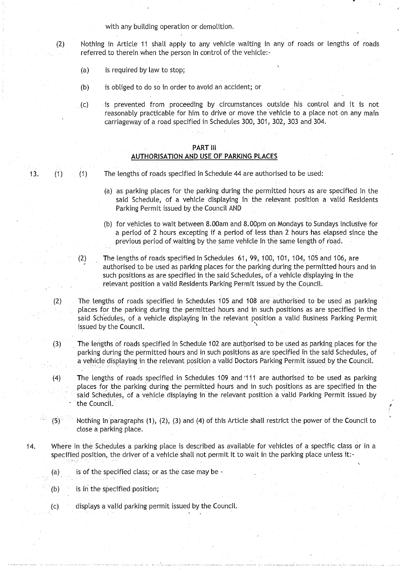with any building operation or demolition.

(2) Nothing in Article 11 shall apply to any vehicle waiting in any of roads or lengths of roads referred to therein when the person in control of the vehicle:-

- (a) is required by law to stop;
- (b) is obliged to do so in order to avoid an accident; or
- (c) is prevented from proceeding by circumstances outside his control and it is not reasonably practicable for him. to drive or move the vehicle to a place not on any main carriageway of a road specified in Schedules 300, 301, 302, 303 and 304 .

#### PART III AUTHORISATION AND USE OF PARKING PLACES

13. (1) (1) The lengths of roads specified in Schedule 44 are authorised to be used:

- (a) as parking places for the parking during the permitted hours as are specified in the said Schedule, of a vehicle displaying in the relevant position a valid Residents Parking Permit issued by the Council AND
- (b) for vehicles to wait between 8 .00am and 8 .00pm on Mondays to Sundays inclusive for a period of 2 hours excepting if a period of less than 2 hours has elapsed since the previous period of waiting by the same vehicle in the same length of road.
- (2) The lengths of roads specified in Schedules 61, 99, 100, 101, 104, 105 and **106,** are authorised to be used as parking places for the parking during the permitted hours and in such positions as are specified in the said Schedules, of a vehicle displaying in the relevant position a valid Residents Parking Permit issued by the Council.
- (2) The lengths of roads specified in Schedules 105 and 108 are authorised to be used as parking places for the parking during the permitted hours and in such positions as are specified in the said Schedules, of a vehicle displaying in the relevant position a valid Business Parking Permit issued by the Council.
- (3) The lengths of roads specified in Schedule 102 are authorised to be used as parking places for the parking during the permitted hours and in such positions as are specified in the said Schedules, of a vehicle displaying in the relevant position a valid Doctors Parking Permit issued by the Council.
- (4) The lengths of roads specified in Schedules 109 and 1111 are authorised to be used as parking places for the parking during the permitted hours and in such positions as are specified in the said Schedules, of a vehicle displaying in the relevant position a valid Parking Permit issued **by** the Council.
- **(5) :** Nothing in `paragraphs (1), (2), (3) and (4) of this Article shall restrict the power of the Council to close a parking place .
- 14 . Where in the Schedules a parking place is described as available for vehicles of a specific class or in a specified position, the driver of a vehicle shall not permit it to wait in the parking place unless it:-
	- (a) is of the specified class; or as the case may be  $-$
	- $(b)$  is in the specified position;
	- (c) displays a valid parking permit issued by the Council .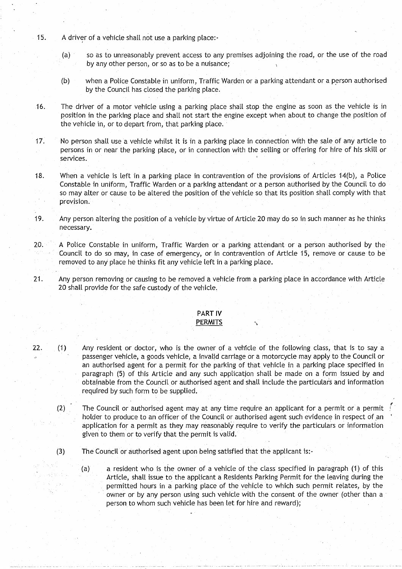- 15. A driver of a vehicle shall not use a parking place:-
	- (a) so as to unreasonably prevent access to any premises adjoining the road, or the use of the road by any other person, or so as to be a nuisance;
	- (b) when a Police Constable in uniform, Traffic Warden or a parking attendant or a person authorised by the Council has closed the parking place.
- 16. The driver of a motor vehicle using a parking place shall stop the engine as soon as the vehicle is in position in the parking place and shall not start the engine except when about to change the position of the vehicle in, or to depart from, that parking place.
- 17. No person shall use a vehicle whilst it is in a parking place in connection with the sale of any article to persons in or near the parking place, or in connection with the selling or offering for hire of his skill or services .
- 18. When a vehicle is left in a parking place in contravention of the provisions of Articles 14(b), a Police Constable in uniform, Traffic Warden or a parking attendant or a person authorised by the Council to do so may alter or cause to be altered the position of the vehicle so that its position shall comply with that provision.
- 19. Any person altering the position of a vehicle by virtue of Article 20 may do so in such manner as he thinks necessary.
- $20.$  A Police Constable in uniform, Traffic Warden or a parking attendant or a person authorised by the Council to do so may, in case of emergency, or in contravention of Article 15, remove or cause to be removed to any place he thinks fit any vehicle left in a parking place .
- 21. Any person removing or causing to be removed a vehicle from a parking place in accordance with Article 20 shall provide for the safe custody of the vehicle.

#### PART IV **PERMITS**

# 22. (1) Any resident or doctor, who is the owner of a vehicle of the following class, that is to say a passenger vehicle, a goods vehicle, a invalid carriage or a motorcycle may apply to the Council or an authorised agent for a permit for the parking of that vehicle in a parking place specified in paragraph (5) of this Article and any such application shall be made on a form issued by and obtainable from the Council or authorised agent and shall include the particulars and information

- (2) The Council or authorised agent may at any time require an applicant for a permit or a permit holder to produce to an officer of the Council or authorised agent such evidence in respect of an application for a permit as they may reasonably require to verify the particulars or information given to them or to verify that the permit is valid.
- (3) The Council or authorised agent upon being satisfied that the applicant is :-

required by such form to be supplied.

(a) a resident who is the owner of a vehicle of the class specified in paragraph (1) of this Article, shall issue to the applicant a Residents Parking Permit for the leaving during the permitted hours in a parking place of the vehicle to which such permit relates, by the owner or by any person using such vehicle with the consent of the owner (other than a person to whom such vehicle has been let for hire and reward);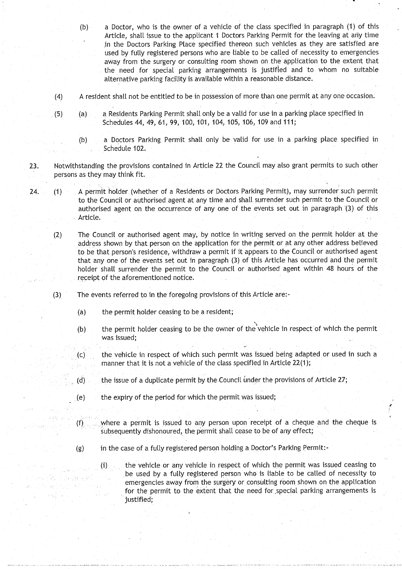- (b) a Doctor, who is the owner of a vehicle of the class specified in paragraph (1) of this Article, shalt issue to the applicant **<sup>I</sup>** Doctors Parking Permit for the leaving at any time in the Doctors Parking Place specified thereon such vehicles as they are satisfied are used by fully registered persons who are liable to be called of necessity to emergencies away from the surgery or consulting room shown on the application to the extent that the need for special parking arrangements is justified and to whom no suitable alternative parking facility is available within a reasonable distance .
- (4) A resident shall not be entitled to be in possession of more than one permit at any one occasion .
- (5) (a) a Residents Parking Permit shall only be a valid for use in a parking place specified in Schedules 44, 49, 61, 99, 100, **101,** 104, 105, 106, 109 and 111 ;
	- (b) a Doctors Parking Permit shall only be valid for use in a parking place specified in Schedule 102.
- 23. Notwithstanding the provisions contained in Article 22 the Council may also grant permits to such other persons as they may think fit.
- 24. (1) A permit holder (whether of a Residents or Doctors Parking Permit), may surrender such permit to the Council or authorised agent at any time and shall surrender such permit to the Council or authorised agent on the occurrence of any one of the events set out in paragraph '(3) of this Article.
	- (2) The Council or authorised agent may, by notice in writing served on the permit holder at the address shown by that person on the application for the permit or at any other address believed to be that person's residence, withdraw a permit if it appears to the Council or authorised agent that any one of the events set out in paragraph (3) of this Article has occurred and the permit holder shall surrender the permit to the Council or authorised agent within 48 hours of the receipt of the aforementioned notice.
	- (3) The events referred to in the foregoing provisions of this Article are :-
		- $(a)$  the permit holder ceasing to be a resident;

sa kêre kî  $\sim 10^7$ 

- (b) the permit holder ceasing to be the owner of the vehicle in respect of which the permit was issued;
- (c) the vehicle in respect of which such permit was issued being adapted or used in such a manner that it is not a vehicle of the class specified in Article 22(1);
- $(d)$  the issue of a duplicate permit by the Council under the provisions of Article 27;
- (e) the expiry of the period for which the permit was issued ;
- $(f)$  where a permit is issued to any person upon receipt of a cheque and the cheque is subsequently dishonoured, the permit shall cease to be of any effect;
- (g) in the case of a fully registered person holding a Doctor's Parking Permit:-
	- (i) the vehicle or any vehicle in respect of which the permit was issued ceasing to be used by a fully registered person who is liable to be called of necessity to emergencies away from the surgery or consulting room shown on the application for the permit to the extent that the need for special parking arrangements is justified,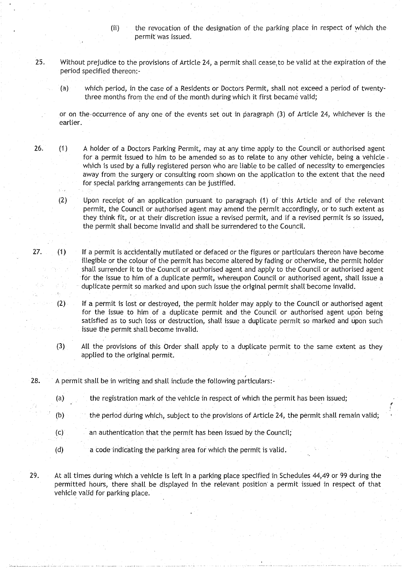- (ii) the revocation of the designation of the parking place in respect of which the permit was issued.
- 25. Without prejudice to the provisions of Article 24, a permit shall cease to be valid at the expiration of the period specified thereon:-
	- (a) which period, in the case of a Residents or Doctors Permit, shalt not exceed a period of twentythree months from the end of the month during which it first became valid;
	- or on the-occurrence of any one of the events set out in paragraph (3) of Article 24, whichever is the earlier.
- 26. (1) A holder of a Doctors Parking Permit, may at any time apply to the Council or authorised agent for a permit issued to him to be amended so as to relate to any other vehicle, **being a** vehicle which is used by a fully registered person who are liable to be called of necessity to emergencies away from the surgery or consulting room shown on the application to the extent that the need for special parking arrangements can be justified.
	- (2) Upon receipt of an application, pursuant to paragraph (1) of this Article and of the relevant permit, the Council or authorised agent may amend the permit accordingly, or to such extent as they think fit, or at their discretion issue a revised permit, and if a revised permit is so issued, the permit shall become invalid and shall be surrendered to the Council.
- 27. (1) If a permit is accidentally mutilated or defaced or the figures or particulars thereon have become illegible or the colour of the permit has become altered by fading or otherwise, the permit holder shalt surrender it to the Council or authorised agent and apply to the Council or authorised agent for the issue to him of a duplicate permit, whereupon Council or authorised agent, shall issue a duplicate permit so marked and upon such issue the original permit shall become invalid .
	- (2) If a permit is lost or destroyed, the permit holder may apply to the Council or authorised agent for the issue to him of a duplicate permit and the Council or authorised agent upon being satisfied as to such loss or destruction, shall issue a duplicate permit so marked and upon such issue the permit shall become invalid.
	- (3) All the provisions of this Order shall apply to a duplicate permit to the same extent as they applied to the original permit.
- $28.$  A permit shall be in writing and shall include the following particulars:
	- (a) the registration mark of the vehicle in respect of which the permit has been issued;
	- $(b)$  the period during which, subject to the provisions of Article 24, the permit shall remain valid;
	- (c) an authentication that the permit has been issued by the Council;
	- (d) a code indicating the parking area for which the permit is valid .
- 29. At all times during which a vehicle is left in a parking place specified in Schedules 44,49 or 99 during the permitted hours, there shalt be displayed in the relevant position' a permit issued in respect of that vehicle valid for parking place.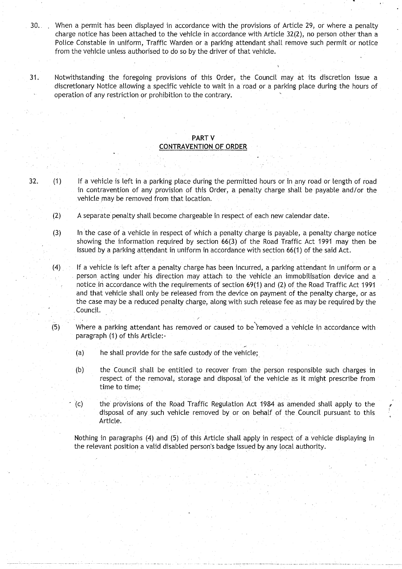30. . When a permit has been displayed in accordance with the provisions of Article 29, or where a penalty charge notice has been attached to the vehicle in accordance with Article 32(2), no person other than a Police Constable in uniform, Traffic Warden or a parking attendant shall remove such permit or notice from the vehicle unless authorised to do so by the driver of that vehicle .

<sup>31</sup> . Notwithstanding the foregoing provisions of this Order, the Council may at its discretion issue a discretionary Notice allowing a specific vehicle to wait in a road or a parking place during the hours of operation of any restriction or prohibition to the contrary .

#### PART V **CONTRAVENTION OF ORDER**

32 . (1) If a vehicle is left in a parking place during the permitted hours or in any road or length of road in contravention of any provision of this Order, a penalty charge shall be payable and/or the vehicle may be removed from that location.

- (2) A separate penalty shall become chargeable in respect of each new calendar date .
- (3) In the case of a vehicle in respect of which a penalty charge is payable, a penalty charge notice showing the information required by section 66(3) of the Road Traffic Act 1991 may then be issued by a parking attendant in uniform in accordance with section 66(1) of the said Act .
- $(4)$  If a vehicle is left after a penalty charge has been incurred, a parking attendant in uniform or a person acting under his direction may attach to the vehicle **an immobilisation** device and a notice in accordance with the requirements of section **69(1) and** (2) of the Road Traffic Act 1991 and that vehicle shall only be released from the device on payment of the penalty **charge, or as** the case may be a reduced penalty charge, along with such release fee as may be required by the Council.
- (5) Where a parking attendant has removed or caused to be "removed a vehicle in accordance with paragraph (1) of this Article:-
	- (a) he shall provide for the safe custody of the vehicle;
	- (b) the Council shall be entitled to recover from the person responsible such charges in respect of the removal, **storage and disposal** of the vehicle as it might prescribe from time to time;
	- (c) the provisions of the Road Traffic **Regulation** Act 1984 as amended shall apply to the disposal of any such vehicle removed by or on behalf of the Council pursuant to this Article.

Nothing in paragraphs (4) and (5) of this Article shalt apply in respect of a vehicle displaying in the relevant position a valid disabled person'**s badge** issued by any local authority .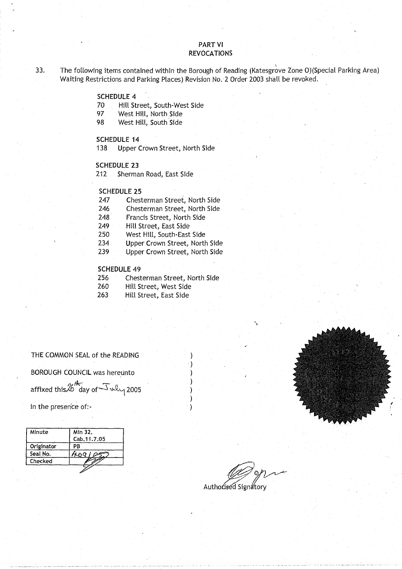## PART VI REVOCATIONS

33. The following items contained within the Borough of Reading (Katesgrove Zone O)(Special Parking Area) Waiting Restrictions and Parking Places) Revision No. 2 Order 2003 shall be revoked.

### **SCHEDULE 4**

- 70 Hill Street, South-West Side<br>97 West Hill, North Side
- 97 West Hill, North Side<br>98 West Hill, South Side
- West Hill, South Side

## SCHEDULE 14

138 Upper Crown Street, North Side

#### **SCHEDULE 23**

212 Sherman Road, East Side

## **SCHEDULE 2 5**

| 247 | Chesterman Street, North Side  |
|-----|--------------------------------|
| 246 | Chesterman Street, North Side  |
| 248 | Francis Street, North Side     |
| 249 | Hill Street, East Side         |
| 250 | West Hill, South-East Side     |
| 234 | Upper Crown Street, North Side |
| 239 | Upper Crown Street, North Side |

#### **SCHEDULE 4 9**

| 256   | Chesterman Street, North Side |
|-------|-------------------------------|
| - - - |                               |

- 260 Hill Street, West Side
- 263 Hill Street, East Side

THE COMMON SEAL of the READING BOROUGH COUNCIL was hereunto affixed this  $26$  day of  $\sqrt{2}$  why 2005 THE COMMON SEAL of the READING<br>BOROUGH COUNCIL was hereunto<br>affixed this  $26 \text{ day of } \sqrt{2005}$ <br>in the presence of:

| Minute     | Min 32.     |
|------------|-------------|
|            | Cab.11.7.05 |
| Originator | PB          |
| Seal No.   | 409         |
| Checked    |             |

Authorised Signatory

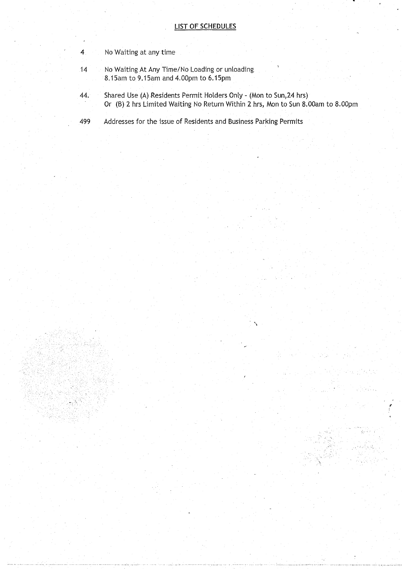#### LIST OF SCHEDULES

- 4 No Waiting at any time
- 14 No Waiting At Any Time/No Loading or unloading. 8.15am to 9 .15am and 4.OOpm to 6 .15pm
- 44. Shared Use (A) Residents Permit Holders Only (Mon to Sun,24 hrs) Or (B) 2 hrs Limited Waiting No Return Within 2 hrs, Mon to Sun 8 .OOam to 8.00pm
- 499 Addresses for the issue of Residents and Business Parking Permits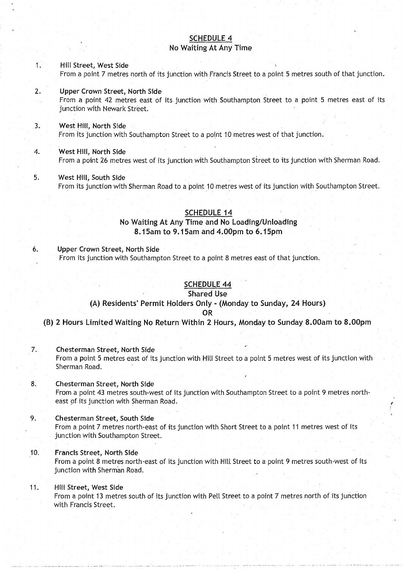## SCHEDULE 4 No Waiting At Any Time

#### 1 Hill Street, **West Side** From a point 7 metres north of its junction with Francis Street to a point 5 metres south of that junction .

**<sup>2</sup> . Upper Crown Street**, **No**rt**h Side**

From a point 42 metres **east** of its junction with Southampton Street to a point 5 metres east of its junction with Newark Street.

## <sup>3</sup> . West **Hill, North Side**

From its junction with Southampton Street to a point 10 metres west of that junction .

## 4. West **Hill, North Side**

From a point 26 metres west of its junction with Southampton Street to its junction with Sherman Road .

#### 5. West **Hill, South Side**

From its junction with Sherman Road to a point 10 metres west of its junction with Southampton Street.

#### **SCHEDULE 1 4**

## **No Waiting** At Any Time **and No Loading/Unloading 8 .15am to 9** . **15am and 4.00pm to 6 .15pm**

**<sup>6</sup> . Upper** Crown **Street, North Side** From its junction with Southampton Street to a point 8 metres east of that junction .

## SCHEDULE 44

### **Shared Use**

## (A) Residents' **Permit Holders** Only - (Monday **to Sunday, 24 Hours)**

#### **OR**

**(B) 2 Hours Limited Waiting No Return Within 2 Hours** , **Monday to Sunday 8** .**00am to 8 .00pm**

#### **7. Chesterman Street, North Side**

From a point 5 metres east of its junction with Hill Street to a point 5 metres west of its junction with Sherman Road.

## **8. Chesterman Street, North Side** From a point 43 metres south-west of its junction with Southampton Street to a point 9 metres north-

**east** of its junction with Sherman Road.

## **<sup>9</sup> . Chesterman Street**, **South Side**

From a point 7 metres north-east of its junction with Short Street to a point 11 metres west of its junction with Southampton Street.

## **10. Francis Street**, **North Side**

From a point 8 metres north-east of its junction with Hill Street to a point 9 metres south-west of its junction with Sherman Road.

## **<sup>11</sup> . Hill Street, West Side**

From a point 13 metres south of its junction with Pell Street to a point 7 metres north of its junction with Francis Street .